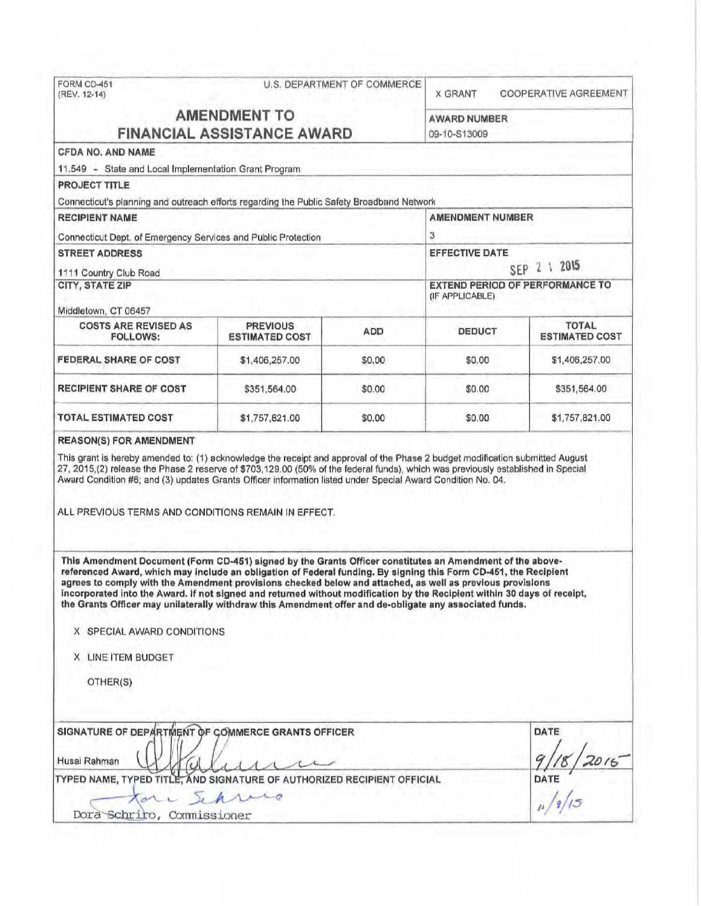|                                                                                                                                                                                                                                                                                                                                                                                                                                                                                                                                                                                                                 | FORM CD-451<br>U.S. DEPARTMENT OF COMMERCE<br>(REV. 12-14) |            | <b>X GRANT</b>                      | COOPERATIVE AGREEMENT                                                                                                            |                       |
|-----------------------------------------------------------------------------------------------------------------------------------------------------------------------------------------------------------------------------------------------------------------------------------------------------------------------------------------------------------------------------------------------------------------------------------------------------------------------------------------------------------------------------------------------------------------------------------------------------------------|------------------------------------------------------------|------------|-------------------------------------|----------------------------------------------------------------------------------------------------------------------------------|-----------------------|
| <b>AMENDMENT TO</b><br><b>FINANCIAL ASSISTANCE AWARD</b>                                                                                                                                                                                                                                                                                                                                                                                                                                                                                                                                                        |                                                            |            | <b>AWARD NUMBER</b><br>09-10-S13009 |                                                                                                                                  |                       |
| CFDA NO. AND NAME                                                                                                                                                                                                                                                                                                                                                                                                                                                                                                                                                                                               |                                                            |            |                                     |                                                                                                                                  |                       |
| 11.549 - State and Local Implementation Grant Program                                                                                                                                                                                                                                                                                                                                                                                                                                                                                                                                                           |                                                            |            |                                     |                                                                                                                                  |                       |
| <b>PROJECT TITLE</b>                                                                                                                                                                                                                                                                                                                                                                                                                                                                                                                                                                                            |                                                            |            |                                     |                                                                                                                                  |                       |
| Connecticut's planning and outreach efforts regarding the Public Safety Broadband Network                                                                                                                                                                                                                                                                                                                                                                                                                                                                                                                       |                                                            |            |                                     |                                                                                                                                  |                       |
| <b>RECIPIENT NAME</b><br>Connecticut Dept. of Emergency Services and Public Protection                                                                                                                                                                                                                                                                                                                                                                                                                                                                                                                          |                                                            |            | <b>AMENDMENT NUMBER</b><br>З        |                                                                                                                                  |                       |
|                                                                                                                                                                                                                                                                                                                                                                                                                                                                                                                                                                                                                 |                                                            |            |                                     |                                                                                                                                  | <b>STREET ADDRESS</b> |
| 1111 Country Club Road                                                                                                                                                                                                                                                                                                                                                                                                                                                                                                                                                                                          |                                                            |            |                                     |                                                                                                                                  |                       |
| <b>CITY, STATE ZIP</b>                                                                                                                                                                                                                                                                                                                                                                                                                                                                                                                                                                                          |                                                            |            |                                     |                                                                                                                                  |                       |
|                                                                                                                                                                                                                                                                                                                                                                                                                                                                                                                                                                                                                 |                                                            |            | (IF APPLICABLE)                     |                                                                                                                                  |                       |
| Middletown, CT 06457                                                                                                                                                                                                                                                                                                                                                                                                                                                                                                                                                                                            |                                                            |            |                                     |                                                                                                                                  |                       |
| <b>COSTS ARE REVISED AS</b><br><b>FOLLOWS:</b>                                                                                                                                                                                                                                                                                                                                                                                                                                                                                                                                                                  | <b>PREVIOUS</b><br><b>ESTIMATED COST</b>                   | <b>ADD</b> | DEDUCT                              | <b>TOTAL</b><br><b>ESTIMATED COST</b>                                                                                            |                       |
| FEDERAL SHARE OF COST                                                                                                                                                                                                                                                                                                                                                                                                                                                                                                                                                                                           | \$1,406,257.00                                             | \$0.00     | \$0.00                              | \$1,406,257.00                                                                                                                   |                       |
| <b>RECIPIENT SHARE OF COST</b>                                                                                                                                                                                                                                                                                                                                                                                                                                                                                                                                                                                  | \$351,564.00                                               | \$0.00     | \$0.00                              | \$351,564.00                                                                                                                     |                       |
| <b>TOTAL ESTIMATED COST</b>                                                                                                                                                                                                                                                                                                                                                                                                                                                                                                                                                                                     | \$1,757,821.00                                             | \$0.00     | \$0.00                              | \$1,757,821.00                                                                                                                   |                       |
|                                                                                                                                                                                                                                                                                                                                                                                                                                                                                                                                                                                                                 |                                                            |            |                                     | 27, 2015,(2) release the Phase 2 reserve of \$703,129.00 (50% of the federal funds), which was previously established in Special |                       |
| Award Condition #6; and (3) updates Grants Officer information listed under Special Award Condition No. 04.<br>ALL PREVIOUS TERMS AND CONDITIONS REMAIN IN EFFECT.                                                                                                                                                                                                                                                                                                                                                                                                                                              |                                                            |            |                                     |                                                                                                                                  |                       |
| This Amendment Document (Form CD-451) signed by the Grants Officer constitutes an Amendment of the above-<br>referenced Award, which may include an obligation of Federal funding. By signing this Form CD-451, the Recipient<br>agrees to comply with the Amendment provisions checked below and attached, as well as previous provisions<br>incorporated into the Award. If not signed and returned without modification by the Recipient within 30 days of receipt,<br>the Grants Officer may unilaterally withdraw this Amendment offer and de-obligate any associated funds.<br>X SPECIAL AWARD CONDITIONS |                                                            |            |                                     |                                                                                                                                  |                       |
|                                                                                                                                                                                                                                                                                                                                                                                                                                                                                                                                                                                                                 |                                                            |            |                                     |                                                                                                                                  |                       |
| X LINE ITEM BUDGET                                                                                                                                                                                                                                                                                                                                                                                                                                                                                                                                                                                              |                                                            |            |                                     |                                                                                                                                  |                       |
| OTHER(S)                                                                                                                                                                                                                                                                                                                                                                                                                                                                                                                                                                                                        |                                                            |            |                                     |                                                                                                                                  |                       |
| SIGNATURE OF DEPARTMENT OF COMMERCE GRANTS OFFICER                                                                                                                                                                                                                                                                                                                                                                                                                                                                                                                                                              |                                                            |            |                                     | DATE                                                                                                                             |                       |
| Husai Rahman                                                                                                                                                                                                                                                                                                                                                                                                                                                                                                                                                                                                    |                                                            |            |                                     |                                                                                                                                  |                       |
| TYPED NAME, TYPED TITLE, AND SIGNATURE OF AUTHORIZED RECIPIENT OFFICIAL<br>ale                                                                                                                                                                                                                                                                                                                                                                                                                                                                                                                                  | rare                                                       |            |                                     | DATE $\frac{116}{2016}$                                                                                                          |                       |